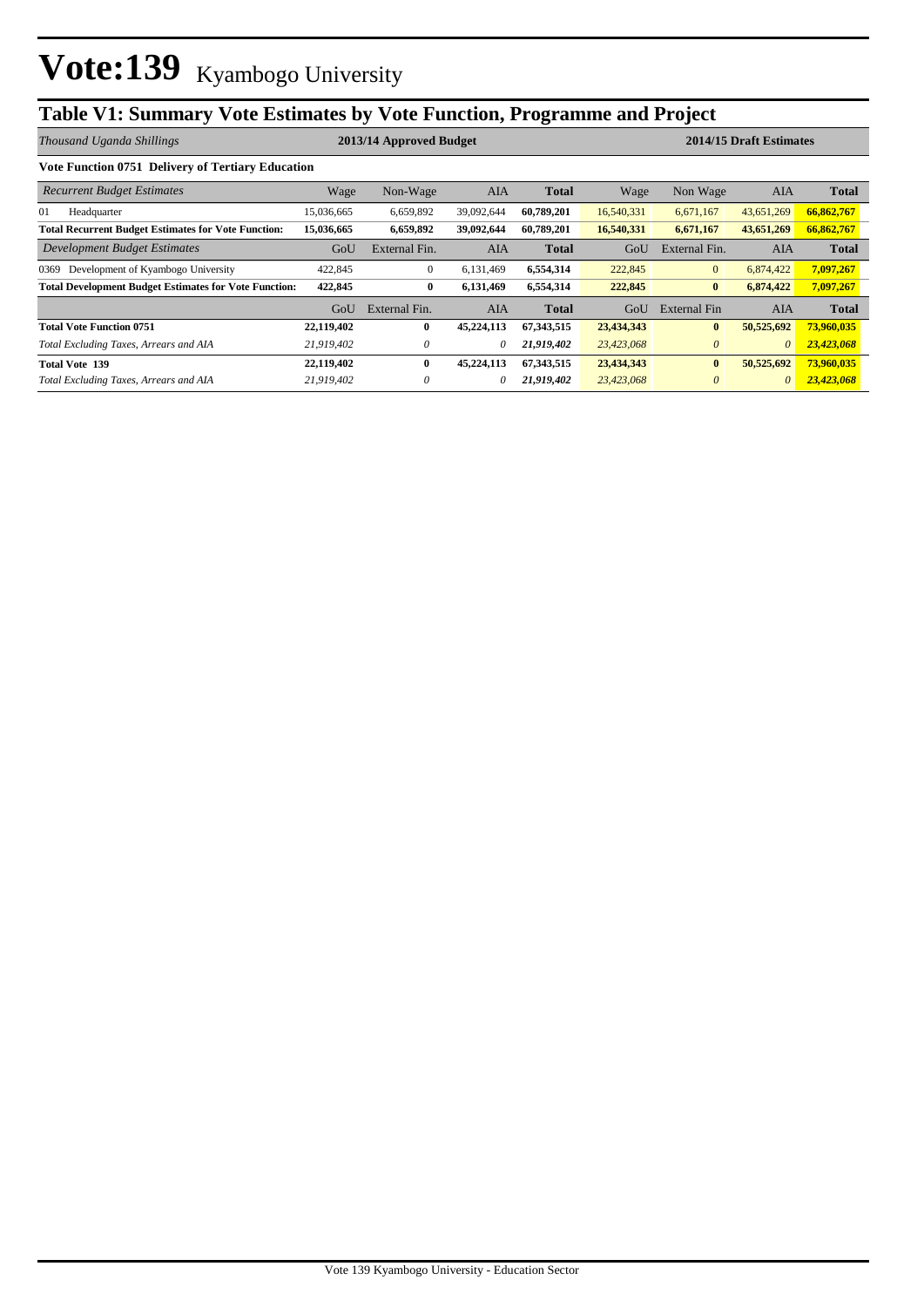## **Table V1: Summary Vote Estimates by Vote Function, Programme and Project**

| Thousand Uganda Shillings                                    |            | 2013/14 Approved Budget |            |              | 2014/15 Draft Estimates |                |            |              |  |
|--------------------------------------------------------------|------------|-------------------------|------------|--------------|-------------------------|----------------|------------|--------------|--|
| <b>Vote Function 0751 Delivery of Tertiary Education</b>     |            |                         |            |              |                         |                |            |              |  |
| <b>Recurrent Budget Estimates</b>                            | Wage       | Non-Wage                | <b>AIA</b> | <b>Total</b> | Wage                    | Non Wage       | AIA        | <b>Total</b> |  |
| 01<br>Headquarter                                            | 15,036,665 | 6,659,892               | 39,092,644 | 60,789,201   | 16,540,331              | 6,671,167      | 43,651,269 | 66,862,767   |  |
| <b>Total Recurrent Budget Estimates for Vote Function:</b>   | 15,036,665 | 6,659,892               | 39,092,644 | 60,789,201   | 16,540,331              | 6,671,167      | 43,651,269 | 66,862,767   |  |
| Development Budget Estimates                                 | GoU        | External Fin.           | AIA        | <b>Total</b> | GoU                     | External Fin.  | AIA        | <b>Total</b> |  |
| Development of Kyambogo University<br>0369                   | 422,845    | $\mathbf{0}$            | 6,131,469  | 6,554,314    | 222,845                 | $\overline{0}$ | 6,874,422  | 7,097,267    |  |
| <b>Total Development Budget Estimates for Vote Function:</b> | 422,845    | $\bf{0}$                | 6,131,469  | 6,554,314    | 222,845                 | $\bf{0}$       | 6,874,422  | 7,097,267    |  |
|                                                              | GoU        | External Fin.           | AIA        | <b>Total</b> | GoU                     | External Fin   | AIA        | <b>Total</b> |  |
| <b>Total Vote Function 0751</b>                              | 22,119,402 | $\bf{0}$                | 45,224,113 | 67,343,515   | 23,434,343              | $\bf{0}$       | 50,525,692 | 73,960,035   |  |
| Total Excluding Taxes, Arrears and AIA                       | 21,919,402 | 0                       | 0          | 21,919,402   | 23,423,068              | $\theta$       | $\theta$   | 23,423,068   |  |
| <b>Total Vote 139</b>                                        | 22,119,402 | $\mathbf{0}$            | 45,224,113 | 67,343,515   | 23,434,343              | $\bf{0}$       | 50,525,692 | 73,960,035   |  |
| Total Excluding Taxes, Arrears and AIA                       | 21,919,402 | 0                       | 0          | 21,919,402   | 23,423,068              | $\theta$       | $\theta$   | 23,423,068   |  |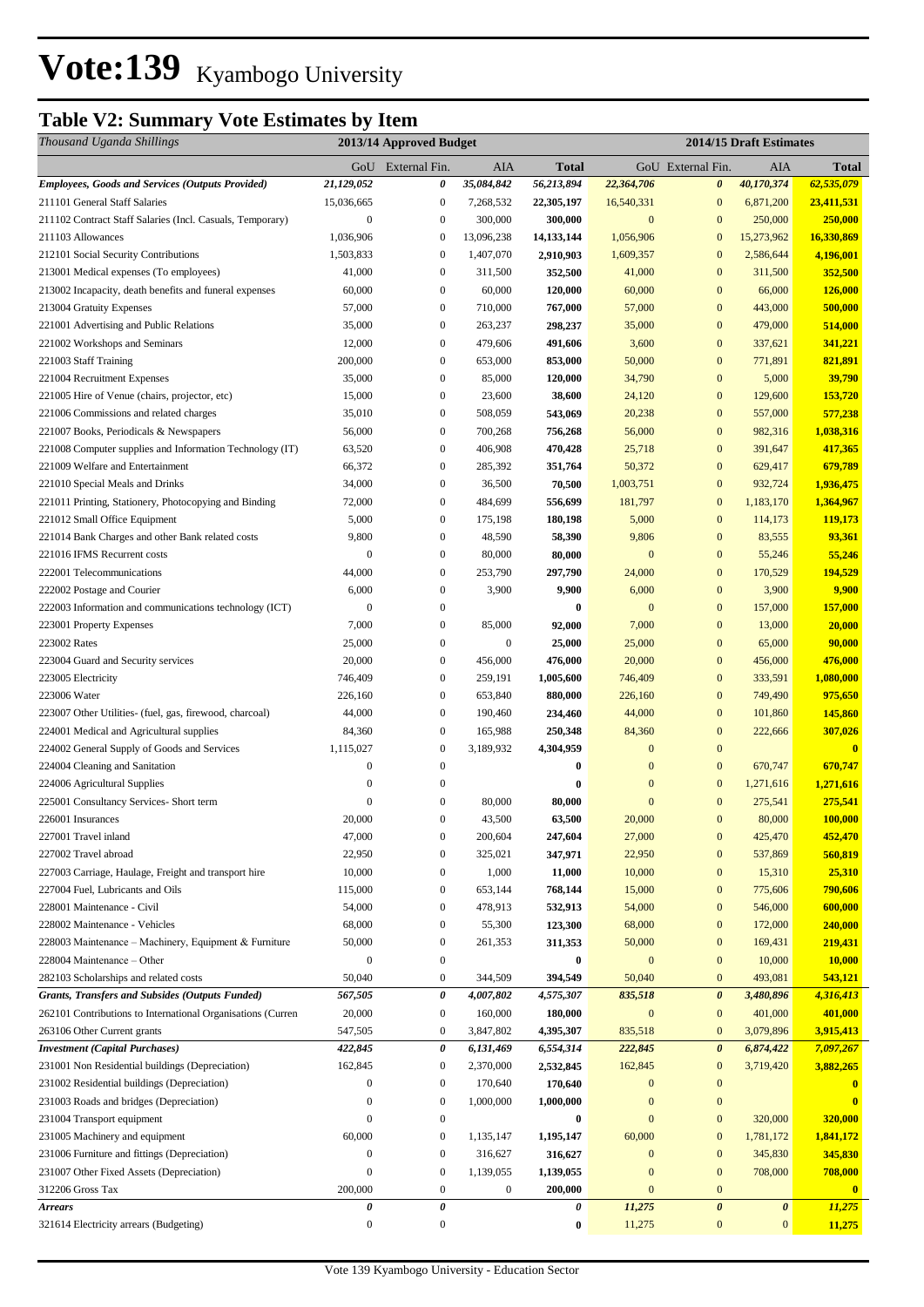## **Table V2: Summary Vote Estimates by Item**

| Thousand Uganda Shillings                                    |                  | 2013/14 Approved Budget          |                   |                    |                        |                                    | 2014/15 Draft Estimates |                         |  |  |  |
|--------------------------------------------------------------|------------------|----------------------------------|-------------------|--------------------|------------------------|------------------------------------|-------------------------|-------------------------|--|--|--|
|                                                              |                  | GoU External Fin.                | AIA               | <b>Total</b>       |                        | GoU External Fin.                  | AIA                     | <b>Total</b>            |  |  |  |
| <b>Employees, Goods and Services (Outputs Provided)</b>      | 21,129,052       | 0                                | 35,084,842        | 56,213,894         | 22,364,706             | $\boldsymbol{\theta}$              | 40,170,374              | 62,535,079              |  |  |  |
| 211101 General Staff Salaries                                | 15,036,665       | $\boldsymbol{0}$                 | 7,268,532         | 22,305,197         | 16,540,331             | $\mathbf{0}$                       | 6,871,200               | 23,411,531              |  |  |  |
| 211102 Contract Staff Salaries (Incl. Casuals, Temporary)    | $\boldsymbol{0}$ | $\boldsymbol{0}$                 | 300,000           | 300,000            | $\mathbf{0}$           | $\mathbf{0}$                       | 250,000                 | 250,000                 |  |  |  |
| 211103 Allowances                                            | 1,036,906        | $\mathbf{0}$                     | 13,096,238        | 14,133,144         | 1,056,906              | $\mathbf{0}$                       | 15,273,962              | 16,330,869              |  |  |  |
| 212101 Social Security Contributions                         | 1,503,833        | $\boldsymbol{0}$                 | 1,407,070         | 2,910,903          | 1,609,357              | $\mathbf{0}$                       | 2,586,644               | 4,196,001               |  |  |  |
| 213001 Medical expenses (To employees)                       | 41,000           | $\boldsymbol{0}$                 | 311,500           | 352,500            | 41,000                 | $\boldsymbol{0}$                   | 311,500                 | 352,500                 |  |  |  |
| 213002 Incapacity, death benefits and funeral expenses       | 60,000           | $\boldsymbol{0}$                 | 60,000            | 120,000            | 60,000                 | $\mathbf{0}$                       | 66,000                  | 126,000                 |  |  |  |
| 213004 Gratuity Expenses                                     | 57,000           | $\boldsymbol{0}$                 | 710,000           | 767,000            | 57,000                 | $\boldsymbol{0}$                   | 443,000                 | 500,000                 |  |  |  |
| 221001 Advertising and Public Relations                      | 35,000           | $\boldsymbol{0}$                 | 263,237           | 298,237            | 35,000                 | $\boldsymbol{0}$                   | 479,000                 | 514,000                 |  |  |  |
| 221002 Workshops and Seminars                                | 12,000           | $\boldsymbol{0}$                 | 479,606           | 491,606            | 3,600                  | $\mathbf{0}$                       | 337,621                 | 341,221                 |  |  |  |
| 221003 Staff Training                                        | 200,000          | $\boldsymbol{0}$                 | 653,000           | 853,000            | 50,000                 | $\mathbf{0}$                       | 771,891                 | 821,891                 |  |  |  |
| 221004 Recruitment Expenses                                  | 35,000           | $\boldsymbol{0}$                 | 85,000            | 120,000            | 34,790                 | $\mathbf{0}$                       | 5,000                   | 39,790                  |  |  |  |
| 221005 Hire of Venue (chairs, projector, etc)                | 15,000           | $\boldsymbol{0}$                 | 23,600            | 38,600             | 24,120                 | $\boldsymbol{0}$                   | 129,600                 | 153,720                 |  |  |  |
| 221006 Commissions and related charges                       | 35,010           | $\boldsymbol{0}$                 | 508,059           | 543,069            | 20,238                 | $\boldsymbol{0}$                   | 557,000                 | 577,238                 |  |  |  |
| 221007 Books, Periodicals & Newspapers                       | 56,000           | $\boldsymbol{0}$                 | 700,268           | 756,268            | 56,000                 | $\boldsymbol{0}$                   | 982,316                 | 1,038,316               |  |  |  |
| 221008 Computer supplies and Information Technology (IT)     | 63,520           | $\boldsymbol{0}$                 | 406,908           | 470,428            | 25,718                 | $\boldsymbol{0}$                   | 391,647                 | 417,365                 |  |  |  |
| 221009 Welfare and Entertainment                             | 66,372           | $\boldsymbol{0}$                 | 285,392           | 351,764            | 50,372                 | $\boldsymbol{0}$                   | 629,417                 | 679,789                 |  |  |  |
| 221010 Special Meals and Drinks                              | 34,000           | $\mathbf{0}$                     | 36,500            | 70,500             | 1,003,751              | $\boldsymbol{0}$                   | 932,724                 | 1,936,475               |  |  |  |
| 221011 Printing, Stationery, Photocopying and Binding        | 72,000           | $\boldsymbol{0}$                 | 484,699           | 556,699            | 181,797                | $\mathbf{0}$                       | 1,183,170               | 1,364,967               |  |  |  |
| 221012 Small Office Equipment                                | 5,000            | $\boldsymbol{0}$                 | 175,198           | 180,198            | 5,000                  | $\boldsymbol{0}$                   | 114,173                 | 119,173                 |  |  |  |
| 221014 Bank Charges and other Bank related costs             | 9,800            | $\boldsymbol{0}$                 | 48,590            | 58,390             | 9,806                  | $\mathbf{0}$                       | 83,555                  | 93,361                  |  |  |  |
| 221016 IFMS Recurrent costs                                  | $\mathbf{0}$     | $\boldsymbol{0}$                 | 80,000            | 80,000             | $\mathbf{0}$           | $\mathbf{0}$                       | 55,246                  | 55,246                  |  |  |  |
| 222001 Telecommunications                                    | 44,000           | $\boldsymbol{0}$                 | 253,790           | 297,790            | 24,000                 | $\boldsymbol{0}$                   | 170,529                 | 194,529                 |  |  |  |
| 222002 Postage and Courier                                   | 6,000            | $\boldsymbol{0}$                 | 3,900             | 9,900              | 6,000                  | $\boldsymbol{0}$                   | 3,900                   | 9,900                   |  |  |  |
| 222003 Information and communications technology (ICT)       | $\mathbf{0}$     | $\boldsymbol{0}$                 |                   | $\boldsymbol{0}$   | $\mathbf{0}$           | $\boldsymbol{0}$                   | 157,000                 | 157,000                 |  |  |  |
| 223001 Property Expenses                                     | 7,000            | $\boldsymbol{0}$                 | 85,000            | 92,000             | 7,000                  | $\boldsymbol{0}$                   | 13,000                  | 20,000                  |  |  |  |
| 223002 Rates                                                 | 25,000           | $\overline{0}$                   | $\boldsymbol{0}$  | 25,000             | 25,000                 | $\boldsymbol{0}$                   | 65,000                  | 90,000                  |  |  |  |
| 223004 Guard and Security services                           | 20,000           | $\boldsymbol{0}$                 | 456,000           | 476,000            | 20,000                 | $\mathbf{0}$                       | 456,000                 | 476,000                 |  |  |  |
| 223005 Electricity                                           | 746,409          | $\boldsymbol{0}$                 | 259,191           | 1,005,600          | 746,409                | $\mathbf{0}$                       | 333,591                 | 1,080,000               |  |  |  |
| 223006 Water                                                 | 226,160          | $\boldsymbol{0}$                 | 653,840           | 880,000            | 226,160                | $\mathbf{0}$                       | 749,490                 | 975,650                 |  |  |  |
| 223007 Other Utilities- (fuel, gas, firewood, charcoal)      | 44,000           | $\boldsymbol{0}$                 | 190,460           | 234,460            | 44,000                 | $\mathbf{0}$                       | 101,860                 | 145,860                 |  |  |  |
| 224001 Medical and Agricultural supplies                     | 84,360           | $\boldsymbol{0}$                 | 165,988           | 250,348            | 84,360                 | $\boldsymbol{0}$                   | 222,666                 | 307,026                 |  |  |  |
| 224002 General Supply of Goods and Services                  | 1,115,027        | $\boldsymbol{0}$                 | 3,189,932         | 4,304,959          | $\mathbf{0}$           | $\boldsymbol{0}$                   |                         | $\overline{\mathbf{0}}$ |  |  |  |
| 224004 Cleaning and Sanitation                               | $\boldsymbol{0}$ | $\boldsymbol{0}$                 |                   | $\boldsymbol{0}$   | $\boldsymbol{0}$       | $\boldsymbol{0}$                   | 670,747                 | 670,747                 |  |  |  |
| 224006 Agricultural Supplies                                 | $\boldsymbol{0}$ | $\boldsymbol{0}$                 |                   | 0                  | $\mathbf{0}$           | $\boldsymbol{0}$                   | 1,271,616               | 1,271,616               |  |  |  |
| 225001 Consultancy Services- Short term<br>226001 Insurances | $\boldsymbol{0}$ | $\boldsymbol{0}$<br>$\mathbf{0}$ | 80,000            | 80,000             | $\mathbf{0}$<br>20,000 | $\boldsymbol{0}$<br>$\overline{0}$ | 275,541                 | 275,541                 |  |  |  |
| 227001 Travel inland                                         | 20,000<br>47,000 | $\boldsymbol{0}$                 | 43,500<br>200,604 | 63,500             | 27,000                 | $\boldsymbol{0}$                   | 80,000<br>425,470       | 100,000                 |  |  |  |
| 227002 Travel abroad                                         |                  | $\boldsymbol{0}$                 | 325,021           | 247,604<br>347,971 | 22,950                 | $\mathbf{0}$                       | 537,869                 | 452,470<br>560,819      |  |  |  |
| 227003 Carriage, Haulage, Freight and transport hire         | 22,950<br>10,000 | $\boldsymbol{0}$                 | 1,000             | 11,000             | 10,000                 | $\mathbf{0}$                       | 15,310                  | 25,310                  |  |  |  |
| 227004 Fuel, Lubricants and Oils                             | 115,000          | $\boldsymbol{0}$                 | 653,144           | 768,144            | 15,000                 | $\boldsymbol{0}$                   | 775,606                 | 790,606                 |  |  |  |
| 228001 Maintenance - Civil                                   | 54,000           | $\boldsymbol{0}$                 | 478,913           | 532,913            | 54,000                 | $\boldsymbol{0}$                   | 546,000                 | 600,000                 |  |  |  |
| 228002 Maintenance - Vehicles                                | 68,000           | $\boldsymbol{0}$                 | 55,300            | 123,300            | 68,000                 | $\boldsymbol{0}$                   | 172,000                 | 240,000                 |  |  |  |
| 228003 Maintenance – Machinery, Equipment & Furniture        | 50,000           | $\boldsymbol{0}$                 | 261,353           | 311,353            | 50,000                 | $\boldsymbol{0}$                   | 169,431                 | 219,431                 |  |  |  |
| 228004 Maintenance – Other                                   | $\boldsymbol{0}$ | $\boldsymbol{0}$                 |                   | $\bf{0}$           | $\boldsymbol{0}$       | $\boldsymbol{0}$                   | 10,000                  | 10,000                  |  |  |  |
| 282103 Scholarships and related costs                        | 50,040           | $\boldsymbol{0}$                 | 344,509           | 394,549            | 50,040                 | $\boldsymbol{0}$                   | 493,081                 | 543,121                 |  |  |  |
| Grants, Transfers and Subsides (Outputs Funded)              | 567,505          | 0                                | 4,007,802         | 4,575,307          | 835,518                | $\boldsymbol{\theta}$              | 3,480,896               | 4,316,413               |  |  |  |
| 262101 Contributions to International Organisations (Curren  | 20,000           | $\boldsymbol{0}$                 | 160,000           | 180,000            | $\boldsymbol{0}$       | $\boldsymbol{0}$                   | 401,000                 | 401,000                 |  |  |  |
| 263106 Other Current grants                                  | 547,505          | $\boldsymbol{0}$                 | 3,847,802         | 4,395,307          | 835,518                | $\mathbf{0}$                       | 3,079,896               | 3,915,413               |  |  |  |
| <b>Investment</b> (Capital Purchases)                        | 422,845          | 0                                | 6,131,469         | 6,554,314          | 222,845                | $\boldsymbol{\theta}$              | 6,874,422               | 7,097,267               |  |  |  |
| 231001 Non Residential buildings (Depreciation)              | 162,845          | $\boldsymbol{0}$                 | 2,370,000         | 2,532,845          | 162,845                | $\boldsymbol{0}$                   | 3,719,420               | 3,882,265               |  |  |  |
| 231002 Residential buildings (Depreciation)                  | $\boldsymbol{0}$ | $\boldsymbol{0}$                 | 170,640           | 170,640            | $\mathbf{0}$           | $\boldsymbol{0}$                   |                         | $\mathbf{0}$            |  |  |  |
| 231003 Roads and bridges (Depreciation)                      | $\boldsymbol{0}$ | $\boldsymbol{0}$                 | 1,000,000         | 1,000,000          | $\boldsymbol{0}$       | $\boldsymbol{0}$                   |                         | $\bf{0}$                |  |  |  |
| 231004 Transport equipment                                   | $\boldsymbol{0}$ | $\boldsymbol{0}$                 |                   | $\bf{0}$           | $\mathbf{0}$           | $\boldsymbol{0}$                   | 320,000                 | 320,000                 |  |  |  |
| 231005 Machinery and equipment                               | 60,000           | $\boldsymbol{0}$                 | 1,135,147         | 1,195,147          | 60,000                 | $\boldsymbol{0}$                   | 1,781,172               | 1,841,172               |  |  |  |
| 231006 Furniture and fittings (Depreciation)                 | $\boldsymbol{0}$ | $\boldsymbol{0}$                 | 316,627           | 316,627            | $\boldsymbol{0}$       | $\boldsymbol{0}$                   | 345,830                 | 345,830                 |  |  |  |
| 231007 Other Fixed Assets (Depreciation)                     | $\boldsymbol{0}$ | $\boldsymbol{0}$                 | 1,139,055         | 1,139,055          | $\mathbf{0}$           | $\boldsymbol{0}$                   | 708,000                 | 708,000                 |  |  |  |
| 312206 Gross Tax                                             | 200,000          | $\boldsymbol{0}$                 | $\boldsymbol{0}$  | 200,000            | $\boldsymbol{0}$       | $\boldsymbol{0}$                   |                         | $\mathbf{0}$            |  |  |  |
| <b>Arrears</b>                                               | 0                | 0                                |                   | 0                  | 11,275                 | $\pmb{\theta}$                     | $\pmb{\theta}$          | 11,275                  |  |  |  |
| 321614 Electricity arrears (Budgeting)                       | $\boldsymbol{0}$ | $\mathbf{0}$                     |                   | $\boldsymbol{0}$   | 11,275                 | $\boldsymbol{0}$                   | $\bf{0}$                | 11,275                  |  |  |  |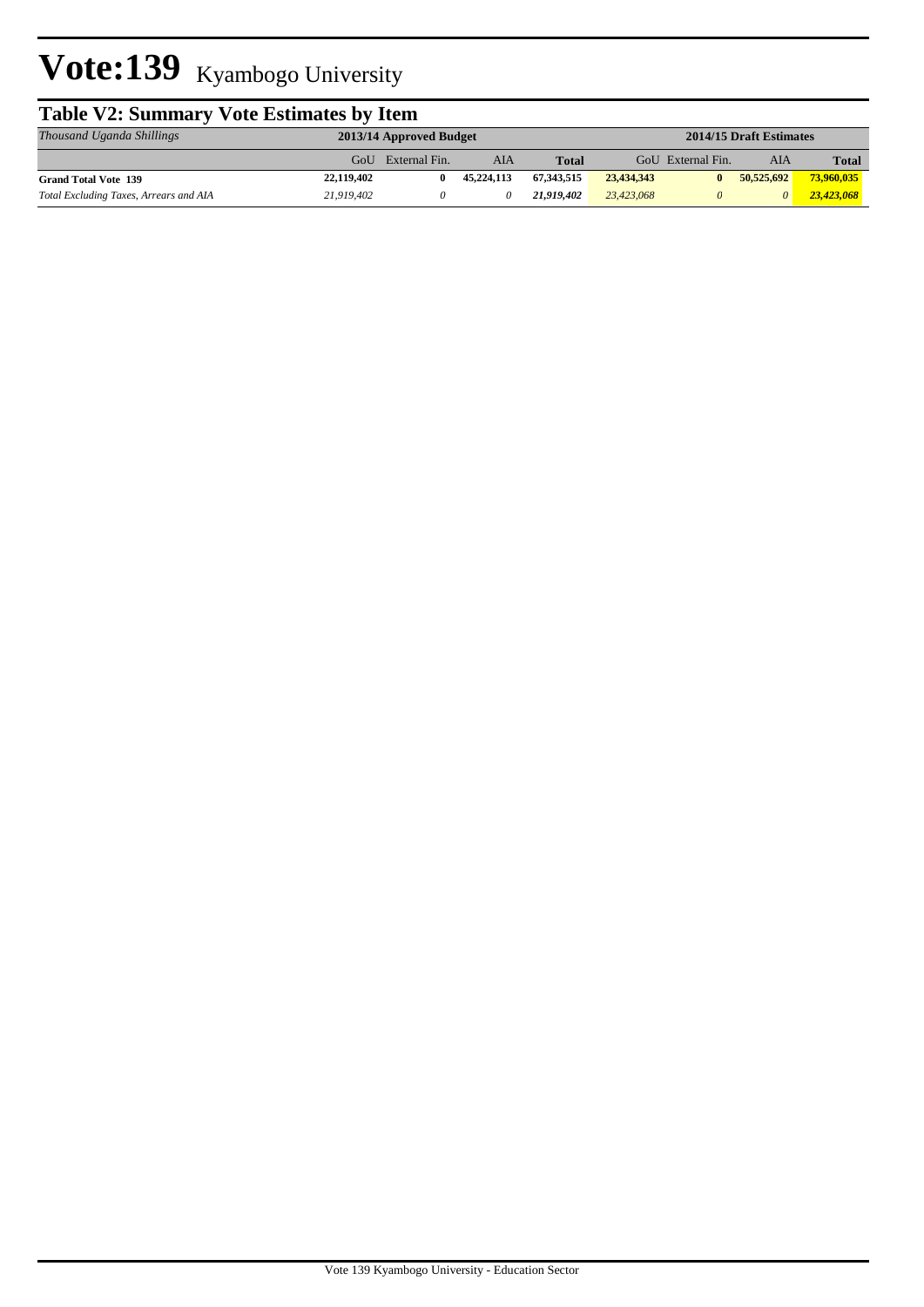# Vote:139 Kyambogo University

| <b>Table V2: Summary Vote Estimates by Item</b> |                                                    |               |            |              |            |                   |            |              |  |  |  |
|-------------------------------------------------|----------------------------------------------------|---------------|------------|--------------|------------|-------------------|------------|--------------|--|--|--|
| Thousand Uganda Shillings                       | 2014/15 Draft Estimates<br>2013/14 Approved Budget |               |            |              |            |                   |            |              |  |  |  |
|                                                 | GoU                                                | External Fin. | AIA        | <b>Total</b> |            | GoU External Fin. | AIA        | <b>Total</b> |  |  |  |
| <b>Grand Total Vote 139</b>                     | 22,119,402                                         | 0             | 45,224,113 | 67.343.515   | 23,434,343 | $\mathbf{0}$      | 50,525,692 | 73,960,035   |  |  |  |
| Total Excluding Taxes, Arrears and AIA          | 21,919,402                                         |               |            | 21,919,402   | 23,423,068 | $\theta$          | 0          | 23,423,068   |  |  |  |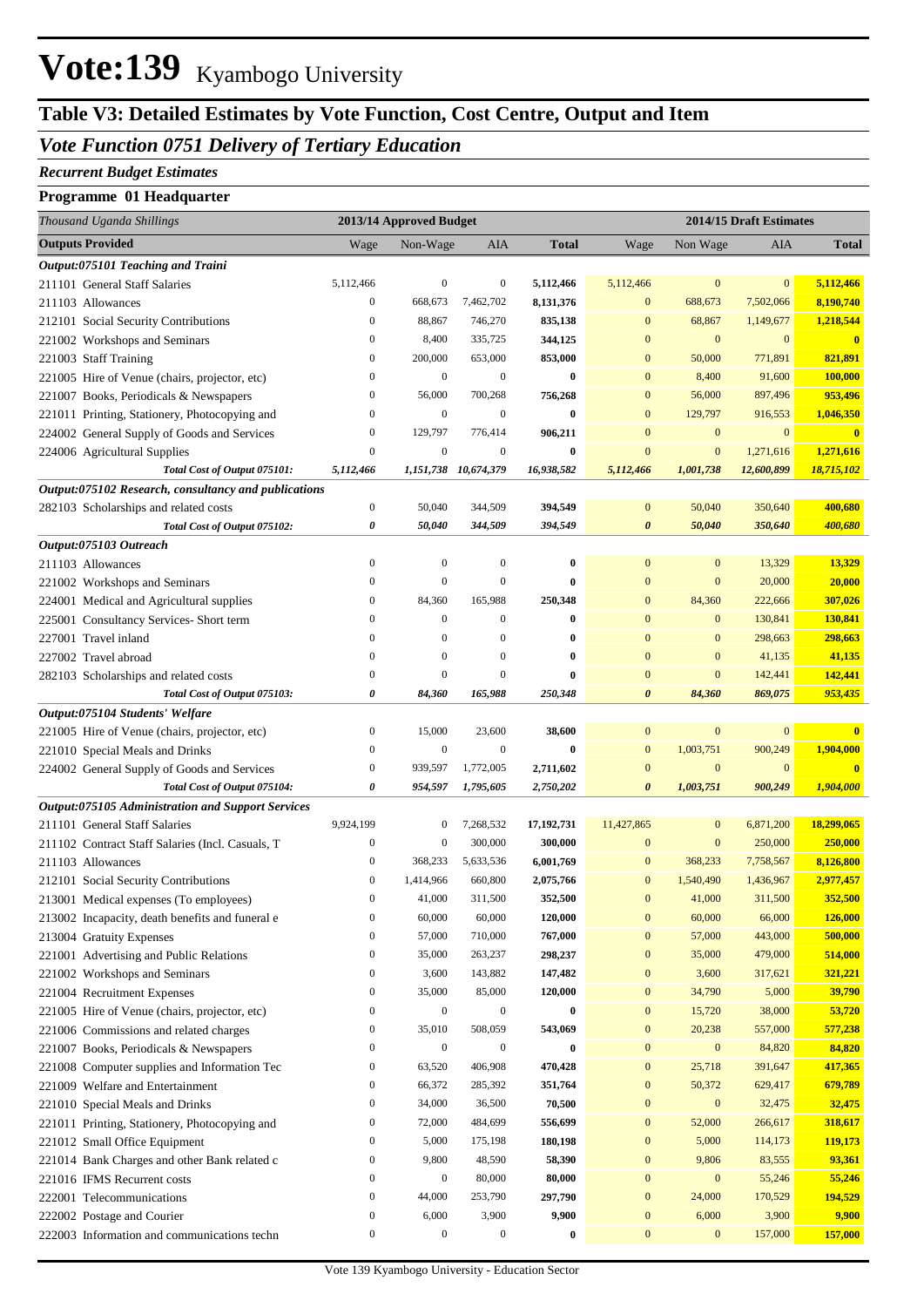## Vote:139 Kyambogo University

## **Table V3: Detailed Estimates by Vote Function, Cost Centre, Output and Item**

#### *Vote Function 0751 Delivery of Tertiary Education*

#### *Recurrent Budget Estimates*

#### **Programme 01 Headquarter**

| Thousand Uganda Shillings                                                           |                                      | 2013/14 Approved Budget |                           |              |                                      | 2014/15 Draft Estimates |                  |                   |
|-------------------------------------------------------------------------------------|--------------------------------------|-------------------------|---------------------------|--------------|--------------------------------------|-------------------------|------------------|-------------------|
| <b>Outputs Provided</b>                                                             | Wage                                 | Non-Wage                | AIA                       | <b>Total</b> | Wage                                 | Non Wage                | AIA              | <b>Total</b>      |
| Output:075101 Teaching and Traini                                                   |                                      |                         |                           |              |                                      |                         |                  |                   |
| 211101 General Staff Salaries                                                       | 5,112,466                            | $\boldsymbol{0}$        | $\boldsymbol{0}$          | 5,112,466    | 5,112,466                            | $\bf{0}$                | $\bf{0}$         | 5,112,466         |
| 211103 Allowances                                                                   | $\boldsymbol{0}$                     | 668,673                 | 7,462,702                 | 8,131,376    | $\mathbf{0}$                         | 688,673                 | 7,502,066        | 8,190,740         |
| 212101 Social Security Contributions                                                | $\boldsymbol{0}$                     | 88,867                  | 746,270                   | 835,138      | $\mathbf{0}$                         | 68,867                  | 1,149,677        | 1,218,544         |
| 221002 Workshops and Seminars                                                       | $\boldsymbol{0}$                     | 8,400                   | 335,725                   | 344,125      | $\mathbf{0}$                         | $\mathbf{0}$            | $\mathbf{0}$     | $\bf{0}$          |
| 221003 Staff Training                                                               | $\boldsymbol{0}$                     | 200,000                 | 653,000                   | 853,000      | $\overline{0}$                       | 50,000                  | 771,891          | 821,891           |
| 221005 Hire of Venue (chairs, projector, etc)                                       | $\boldsymbol{0}$                     | $\boldsymbol{0}$        | $\mathbf{0}$              | 0            | $\mathbf{0}$                         | 8,400                   | 91,600           | 100,000           |
| 221007 Books, Periodicals & Newspapers                                              | $\boldsymbol{0}$                     | 56,000                  | 700,268                   | 756,268      | $\mathbf{0}$                         | 56,000                  | 897,496          | 953,496           |
| 221011 Printing, Stationery, Photocopying and                                       | $\boldsymbol{0}$                     | $\boldsymbol{0}$        | $\mathbf{0}$              | 0            | $\mathbf{0}$                         | 129,797                 | 916,553          | 1,046,350         |
| 224002 General Supply of Goods and Services                                         | $\boldsymbol{0}$                     | 129,797                 | 776,414                   | 906,211      | $\mathbf{0}$                         | $\mathbf{0}$            | $\mathbf{0}$     | $\mathbf{0}$      |
| 224006 Agricultural Supplies                                                        | $\boldsymbol{0}$                     | $\boldsymbol{0}$        | $\boldsymbol{0}$          | $\bf{0}$     | $\mathbf{0}$                         | $\boldsymbol{0}$        | 1,271,616        | 1,271,616         |
| Total Cost of Output 075101:                                                        | 5,112,466                            |                         | 1,151,738 10,674,379      | 16,938,582   | 5,112,466                            | 1,001,738               | 12,600,899       | 18,715,102        |
| Output:075102 Research, consultancy and publications                                |                                      |                         |                           |              |                                      |                         |                  |                   |
| 282103 Scholarships and related costs                                               | $\boldsymbol{0}$                     | 50,040                  | 344,509                   | 394,549      | $\mathbf{0}$                         | 50,040                  | 350,640          | 400,680           |
| Total Cost of Output 075102:                                                        | 0                                    | 50,040                  | 344,509                   | 394,549      | $\boldsymbol{\theta}$                | 50,040                  | 350,640          | 400,680           |
| Output:075103 Outreach                                                              | $\boldsymbol{0}$                     | $\mathbf{0}$            | $\boldsymbol{0}$          | 0            | $\mathbf{0}$                         | $\mathbf{0}$            |                  | 13,329            |
| 211103 Allowances                                                                   | $\boldsymbol{0}$                     | $\boldsymbol{0}$        | $\overline{0}$            | $\bf{0}$     | $\overline{0}$                       | $\mathbf{0}$            | 13,329<br>20,000 |                   |
| 221002 Workshops and Seminars                                                       | $\boldsymbol{0}$                     | 84,360                  | 165,988                   | 250,348      | $\mathbf{0}$                         | 84,360                  | 222,666          | 20,000<br>307,026 |
| 224001 Medical and Agricultural supplies<br>225001 Consultancy Services- Short term | $\boldsymbol{0}$                     | $\boldsymbol{0}$        | $\boldsymbol{0}$          | $\bf{0}$     | $\mathbf{0}$                         | $\mathbf{0}$            | 130,841          | 130,841           |
| 227001 Travel inland                                                                | $\mathbf{0}$                         | $\mathbf{0}$            | $\mathbf{0}$              | 0            | $\mathbf{0}$                         | $\mathbf{0}$            | 298,663          | 298,663           |
| 227002 Travel abroad                                                                | $\boldsymbol{0}$                     | $\boldsymbol{0}$        | $\boldsymbol{0}$          | $\bf{0}$     | $\mathbf{0}$                         | $\mathbf{0}$            | 41,135           | 41,135            |
| 282103 Scholarships and related costs                                               | $\boldsymbol{0}$                     | $\overline{0}$          | $\overline{0}$            | $\bf{0}$     | $\overline{0}$                       | $\mathbf{0}$            | 142,441          | 142,441           |
| Total Cost of Output 075103:                                                        | 0                                    | 84,360                  | 165,988                   | 250,348      | 0                                    | 84,360                  | 869,075          | 953,435           |
| Output:075104 Students' Welfare                                                     |                                      |                         |                           |              |                                      |                         |                  |                   |
| 221005 Hire of Venue (chairs, projector, etc)                                       | $\boldsymbol{0}$                     | 15,000                  | 23,600                    | 38,600       | $\bf{0}$                             | $\bf{0}$                | $\mathbf{0}$     | $\mathbf{0}$      |
| 221010 Special Meals and Drinks                                                     | $\boldsymbol{0}$                     | $\boldsymbol{0}$        | $\boldsymbol{0}$          | $\bf{0}$     | $\mathbf{0}$                         | 1,003,751               | 900,249          | 1,904,000         |
| 224002 General Supply of Goods and Services                                         | $\boldsymbol{0}$                     | 939,597                 | 1,772,005                 | 2,711,602    | $\mathbf{0}$                         | $\boldsymbol{0}$        | $\mathbf{0}$     | $\mathbf{0}$      |
| Total Cost of Output 075104:                                                        | 0                                    | 954,597                 | 1,795,605                 | 2,750,202    | 0                                    | 1,003,751               | 900,249          | 1,904,000         |
| Output:075105 Administration and Support Services                                   |                                      |                         |                           |              |                                      |                         |                  |                   |
| 211101 General Staff Salaries                                                       | 9,924,199                            | $\mathbf{0}$            | 7,268,532                 | 17,192,731   | 11,427,865                           | $\boldsymbol{0}$        | 6,871,200        | 18,299,065        |
| 211102 Contract Staff Salaries (Incl. Casuals, T                                    | $\boldsymbol{0}$                     | $\boldsymbol{0}$        | 300,000                   | 300,000      | $\mathbf{0}$                         | $\mathbf{0}$            | 250,000          | 250,000           |
| 211103 Allowances                                                                   | $\boldsymbol{0}$                     | 368,233                 | 5,633,536                 | 6,001,769    | $\mathbf{0}$                         | 368,233                 | 7,758,567        | 8,126,800         |
| 212101 Social Security Contributions                                                | $\boldsymbol{0}$                     | 1,414,966               | 660,800                   | 2,075,766    | $\mathbf{0}$                         | 1,540,490               | 1,436,967        | 2,977,457         |
| 213001 Medical expenses (To employees)                                              | $\boldsymbol{0}$                     | 41,000                  | 311,500                   | 352,500      | $\overline{0}$                       | 41,000                  | 311,500          | 352,500           |
| 213002 Incapacity, death benefits and funeral e                                     | $\boldsymbol{0}$                     | 60,000                  | 60,000                    | 120,000      | $\mathbf{0}$                         | 60,000                  | 66,000           | 126,000           |
| 213004 Gratuity Expenses                                                            | $\boldsymbol{0}$                     | 57,000                  | 710,000                   | 767,000      | $\boldsymbol{0}$                     | 57,000                  | 443,000          | 500,000           |
| 221001 Advertising and Public Relations                                             | $\boldsymbol{0}$                     | 35,000                  | 263,237                   | 298,237      | $\boldsymbol{0}$                     | 35,000                  | 479,000          | 514,000           |
| 221002 Workshops and Seminars                                                       | $\boldsymbol{0}$                     | 3,600                   | 143,882                   | 147,482      | $\boldsymbol{0}$                     | 3,600                   | 317,621          | 321,221           |
| 221004 Recruitment Expenses                                                         | $\boldsymbol{0}$                     | 35,000                  | 85,000                    | 120,000      | $\boldsymbol{0}$                     | 34,790                  | 5,000            | 39,790            |
| 221005 Hire of Venue (chairs, projector, etc)                                       | $\boldsymbol{0}$                     | $\boldsymbol{0}$        | $\boldsymbol{0}$          | $\bf{0}$     | $\boldsymbol{0}$                     | 15,720                  | 38,000           | 53,720            |
| 221006 Commissions and related charges                                              | $\boldsymbol{0}$                     | 35,010                  | 508,059                   | 543,069      | $\boldsymbol{0}$                     | 20,238                  | 557,000          | 577,238           |
| 221007 Books, Periodicals & Newspapers                                              | $\boldsymbol{0}$                     | $\boldsymbol{0}$        | $\boldsymbol{0}$          | $\bf{0}$     | $\boldsymbol{0}$                     | $\boldsymbol{0}$        | 84,820           | 84,820            |
| 221008 Computer supplies and Information Tec                                        | $\boldsymbol{0}$                     | 63,520                  | 406,908                   | 470,428      | $\boldsymbol{0}$                     | 25,718                  | 391,647          | 417,365           |
| 221009 Welfare and Entertainment                                                    | $\boldsymbol{0}$                     | 66,372                  | 285,392                   | 351,764      | $\boldsymbol{0}$                     | 50,372                  | 629,417          | 679,789           |
| 221010 Special Meals and Drinks                                                     | $\boldsymbol{0}$                     | 34,000                  | 36,500                    | 70,500       | $\boldsymbol{0}$                     | $\boldsymbol{0}$        | 32,475           | 32,475            |
| 221011 Printing, Stationery, Photocopying and                                       | $\boldsymbol{0}$                     | 72,000                  | 484,699                   | 556,699      | $\boldsymbol{0}$                     | 52,000                  | 266,617          | 318,617           |
| 221012 Small Office Equipment                                                       | $\boldsymbol{0}$                     | 5,000                   | 175,198                   | 180,198      | $\boldsymbol{0}$                     | 5,000                   | 114,173          | 119,173           |
| 221014 Bank Charges and other Bank related c                                        | $\boldsymbol{0}$                     | 9,800                   | 48,590                    | 58,390       | $\boldsymbol{0}$                     | 9,806                   | 83,555           | 93,361            |
| 221016 IFMS Recurrent costs                                                         | $\boldsymbol{0}$                     | $\boldsymbol{0}$        | 80,000                    | 80,000       | $\boldsymbol{0}$                     | $\boldsymbol{0}$        | 55,246           | 55,246            |
| 222001 Telecommunications                                                           | $\boldsymbol{0}$                     | 44,000<br>6,000         | 253,790                   | 297,790      | $\boldsymbol{0}$                     | 24,000<br>6,000         | 170,529          | 194,529           |
| 222002 Postage and Courier                                                          | $\boldsymbol{0}$<br>$\boldsymbol{0}$ | $\boldsymbol{0}$        | 3,900<br>$\boldsymbol{0}$ | 9,900        | $\boldsymbol{0}$<br>$\boldsymbol{0}$ | $\boldsymbol{0}$        | 3,900<br>157,000 | 9,900             |
| 222003 Information and communications techn                                         |                                      |                         |                           | $\bf{0}$     |                                      |                         |                  | 157,000           |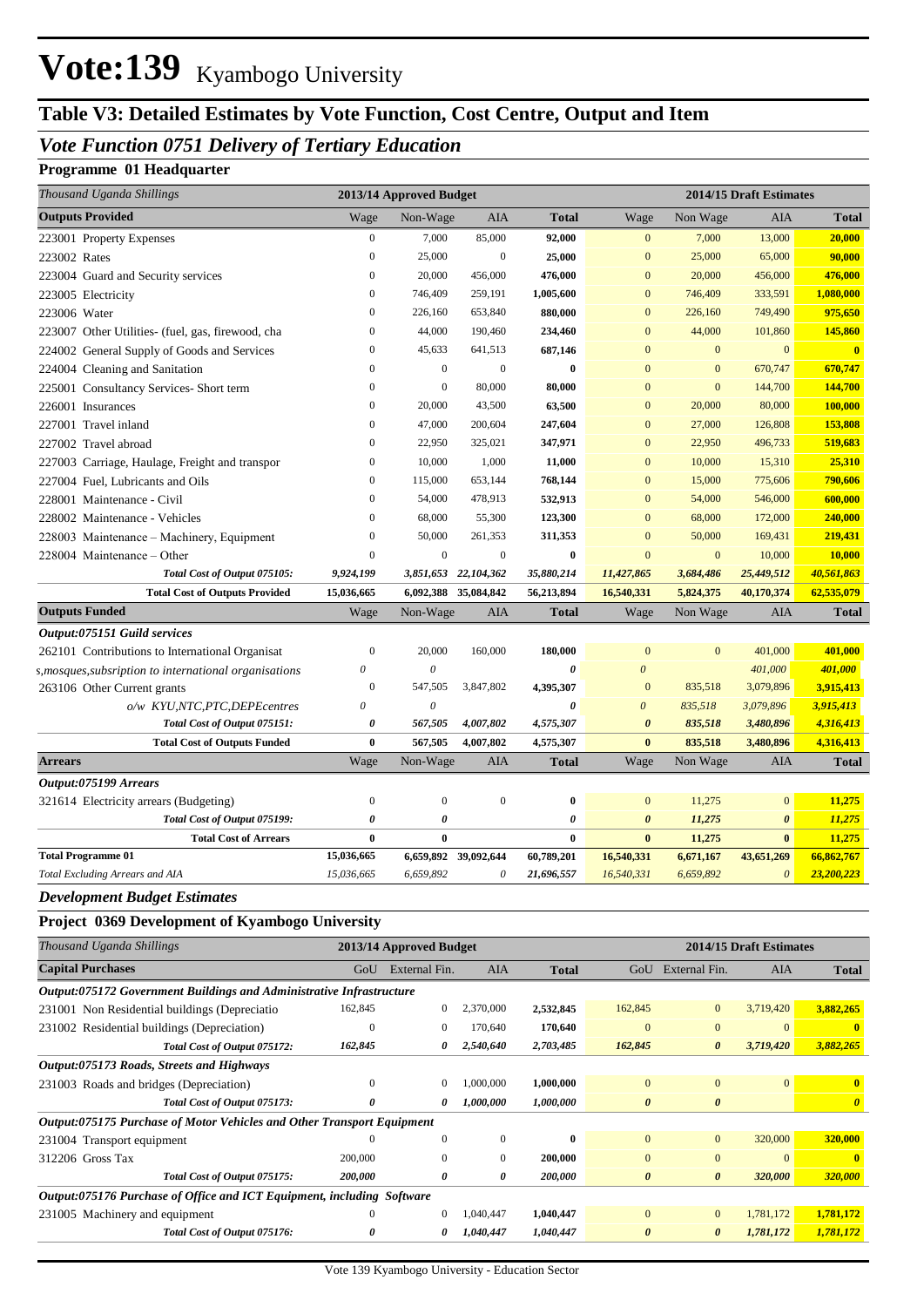## Vote:139 Kyambogo University

### **Table V3: Detailed Estimates by Vote Function, Cost Centre, Output and Item**

#### *Vote Function 0751 Delivery of Tertiary Education*

#### **Programme 01 Headquarter**

| Thousand Uganda Shillings                                              |                          | 2013/14 Approved Budget |                                  |              |                          |                        | 2014/15 Draft Estimates |                       |
|------------------------------------------------------------------------|--------------------------|-------------------------|----------------------------------|--------------|--------------------------|------------------------|-------------------------|-----------------------|
| <b>Outputs Provided</b>                                                | Wage                     | Non-Wage                | AIA                              | <b>Total</b> | Wage                     | Non Wage               | AIA                     | <b>Total</b>          |
| 223001 Property Expenses                                               | $\boldsymbol{0}$         | 7,000                   | 85,000                           | 92,000       | $\mathbf{0}$             | 7,000                  | 13,000                  | 20,000                |
| 223002 Rates                                                           | $\mathbf{0}$             | 25,000                  | $\boldsymbol{0}$                 | 25,000       | $\mathbf{0}$             | 25,000                 | 65,000                  | 90,000                |
| 223004 Guard and Security services                                     | $\mathbf{0}$             | 20,000                  | 456,000                          | 476,000      | $\mathbf{0}$             | 20,000                 | 456,000                 | 476,000               |
| 223005 Electricity                                                     | $\mathbf{0}$             | 746,409                 | 259,191                          | 1,005,600    | $\mathbf{0}$             | 746,409                | 333,591                 | 1,080,000             |
| 223006 Water                                                           | $\mathbf{0}$             | 226,160                 | 653,840                          | 880,000      | $\mathbf{0}$             | 226,160                | 749,490                 | 975,650               |
| 223007 Other Utilities- (fuel, gas, firewood, cha                      | $\mathbf{0}$             | 44,000                  | 190,460                          | 234,460      | $\mathbf{0}$             | 44,000                 | 101,860                 | 145,860               |
| 224002 General Supply of Goods and Services                            | $\mathbf{0}$             | 45,633                  | 641,513                          | 687,146      | $\mathbf{0}$             | $\mathbf{0}$           | $\mathbf{0}$            | $\mathbf{0}$          |
| 224004 Cleaning and Sanitation                                         | $\mathbf{0}$             | $\mathbf{0}$            | $\boldsymbol{0}$                 | 0            | $\mathbf{0}$             | $\mathbf{0}$           | 670,747                 | 670,747               |
| 225001 Consultancy Services- Short term                                | $\mathbf{0}$             | $\boldsymbol{0}$        | 80,000                           | 80,000       | $\mathbf{0}$             | $\bf{0}$               | 144,700                 | 144,700               |
| 226001 Insurances                                                      | $\mathbf{0}$             | 20,000                  | 43,500                           | 63,500       | $\mathbf{0}$             | 20,000                 | 80,000                  | 100,000               |
| 227001 Travel inland                                                   | $\mathbf{0}$             | 47,000                  | 200,604                          | 247,604      | $\mathbf{0}$             | 27,000                 | 126,808                 | 153,808               |
| 227002 Travel abroad                                                   | $\mathbf{0}$             | 22,950                  | 325,021                          | 347,971      | $\mathbf{0}$             | 22,950                 | 496,733                 | 519,683               |
| 227003 Carriage, Haulage, Freight and transpor                         | $\boldsymbol{0}$         | 10,000                  | 1,000                            | 11,000       | $\mathbf{0}$             | 10,000                 | 15,310                  | 25,310                |
| 227004 Fuel, Lubricants and Oils                                       | $\mathbf{0}$             | 115,000                 | 653,144                          | 768,144      | $\mathbf{0}$             | 15,000                 | 775,606                 | 790,606               |
| 228001 Maintenance - Civil                                             | $\mathbf{0}$             | 54,000                  | 478,913                          | 532,913      | $\mathbf{0}$             | 54,000                 | 546,000                 | 600,000               |
| 228002 Maintenance - Vehicles                                          | $\mathbf{0}$             | 68,000                  | 55,300                           | 123,300      | $\mathbf{0}$             | 68,000                 | 172,000                 | 240,000               |
| 228003 Maintenance – Machinery, Equipment                              | $\mathbf{0}$             | 50,000                  | 261,353                          | 311,353      | $\mathbf{0}$             | 50,000                 | 169,431                 | 219,431               |
| 228004 Maintenance - Other                                             | $\boldsymbol{0}$         | $\boldsymbol{0}$        | $\boldsymbol{0}$                 | $\bf{0}$     | $\boldsymbol{0}$         | $\boldsymbol{0}$       | 10,000                  | 10,000                |
| Total Cost of Output 075105:                                           | 9,924,199                | 3,851,653               | 22,104,362                       | 35,880,214   | 11,427,865               | 3,684,486              | 25,449,512              | 40,561,863            |
| <b>Total Cost of Outputs Provided</b>                                  | 15,036,665               |                         | 6,092,388 35,084,842             | 56,213,894   | 16,540,331               | 5,824,375              | 40,170,374              | 62,535,079            |
| <b>Outputs Funded</b>                                                  | Wage                     | Non-Wage                | <b>AIA</b>                       | <b>Total</b> | Wage                     | Non Wage               | AIA                     | <b>Total</b>          |
| Output:075151 Guild services                                           |                          |                         |                                  |              |                          |                        |                         |                       |
| 262101 Contributions to International Organisat                        | $\mathbf{0}$             | 20,000                  | 160,000                          | 180,000      | $\mathbf{0}$             | $\mathbf{0}$           | 401,000                 | 401,000               |
| s, mosques, subsription to international organisations                 | 0                        | $\boldsymbol{\theta}$   |                                  | 0            | $\theta$                 |                        | 401,000                 | 401,000               |
| 263106 Other Current grants                                            | $\boldsymbol{0}$         | 547,505                 | 3,847,802                        | 4,395,307    | $\mathbf{0}$             | 835,518                | 3,079,896               | 3,915,413             |
| o/w KYU,NTC,PTC,DEPEcentres                                            | 0                        | $\boldsymbol{\theta}$   |                                  | 0            | $\boldsymbol{\theta}$    | 835,518                | 3,079,896               | 3,915,413             |
| Total Cost of Output 075151:                                           | 0                        | 567,505                 | 4,007,802                        | 4,575,307    | $\boldsymbol{\theta}$    | 835,518                | 3,480,896               | 4,316,413             |
| <b>Total Cost of Outputs Funded</b>                                    | $\bf{0}$                 | 567,505                 | 4,007,802                        | 4,575,307    | $\bf{0}$                 | 835,518                | 3,480,896               | 4,316,413             |
| <b>Arrears</b>                                                         | Wage                     | Non-Wage                | AIA                              | <b>Total</b> | Wage                     | Non Wage               | AIA                     | <b>Total</b>          |
| Output:075199 Arrears                                                  |                          |                         |                                  |              |                          |                        |                         |                       |
| 321614 Electricity arrears (Budgeting)                                 | $\boldsymbol{0}$         | $\mathbf{0}$            | $\boldsymbol{0}$                 | $\bf{0}$     | $\mathbf{0}$             | 11,275                 | $\mathbf{0}$            | 11,275                |
| Total Cost of Output 075199:                                           | 0                        | 0                       |                                  | 0            | $\boldsymbol{\theta}$    | 11,275                 | $\boldsymbol{\theta}$   | 11,275                |
| <b>Total Cost of Arrears</b>                                           | $\bf{0}$                 | $\bf{0}$                |                                  | $\bf{0}$     | $\bf{0}$                 | 11,275                 | $\bf{0}$                | 11,275                |
| <b>Total Programme 01</b><br>Total Excluding Arrears and AIA           | 15,036,665<br>15,036,665 | 6,659,892               | 6,659,892 39,092,644<br>$\theta$ | 60,789,201   | 16,540,331<br>16,540,331 | 6,671,167<br>6,659,892 | 43,651,269              | 66,862,767            |
|                                                                        |                          |                         |                                  | 21,696,557   |                          |                        | $\boldsymbol{\theta}$   | 23,200,223            |
| <b>Development Budget Estimates</b>                                    |                          |                         |                                  |              |                          |                        |                         |                       |
| Project 0369 Development of Kyambogo University                        |                          |                         |                                  |              |                          |                        |                         |                       |
| Thousand Uganda Shillings                                              |                          | 2013/14 Approved Budget |                                  |              |                          |                        | 2014/15 Draft Estimates |                       |
| <b>Capital Purchases</b>                                               |                          | GoU External Fin.       | AIA                              | <b>Total</b> |                          | GoU External Fin.      | AIA                     | <b>Total</b>          |
| Output:075172 Government Buildings and Administrative Infrastructure   |                          |                         |                                  |              |                          |                        |                         |                       |
| 231001 Non Residential buildings (Depreciatio                          | 162,845                  | $\boldsymbol{0}$        | 2,370,000                        | 2,532,845    | 162,845                  | $\boldsymbol{0}$       | 3,719,420               | 3,882,265             |
| 231002 Residential buildings (Depreciation)                            | $\boldsymbol{0}$         | $\boldsymbol{0}$        | 170,640                          | 170,640      | $\boldsymbol{0}$         | $\boldsymbol{0}$       | $\boldsymbol{0}$        | $\bf{0}$              |
| Total Cost of Output 075172:                                           | 162,845                  | 0                       | 2,540,640                        | 2,703,485    | 162,845                  | 0                      | 3,719,420               | 3,882,265             |
| Output:075173 Roads, Streets and Highways                              |                          |                         |                                  |              |                          |                        |                         |                       |
| 231003 Roads and bridges (Depreciation)                                | $\boldsymbol{0}$         | 0                       | 1,000,000                        | 1,000,000    | $\boldsymbol{0}$         | $\boldsymbol{0}$       | $\mathbf{0}$            | $\boldsymbol{0}$      |
| Total Cost of Output 075173:                                           | 0                        | 0                       | 1,000,000                        | 1,000,000    | $\boldsymbol{\theta}$    | $\pmb{\theta}$         |                         | $\boldsymbol{\theta}$ |
| Output:075175 Purchase of Motor Vehicles and Other Transport Equipment |                          |                         |                                  |              |                          |                        |                         |                       |
| 231004 Transport equipment                                             | $\boldsymbol{0}$         | $\boldsymbol{0}$        | $\boldsymbol{0}$                 | $\bf{0}$     | $\mathbf{0}$             | $\boldsymbol{0}$       | 320,000                 | 320,000               |

231005 Machinery and equipment 0 0 1,040,447 **1,040,447** 0 0 1,781,172 **1,781,172**

312206 Gross Tax 200,000 0 0 **200,000** 0 0 0 **0**

*Output:075176 Purchase of Office and ICT Equipment, including Software*

*Total Cost of Output 075175: 200,000 0 0 200,000 0 0 320,000 320,000*

*Total Cost of Output 075176: 0 0 1,040,447 1,040,447 0 0 1,781,172 1,781,172*